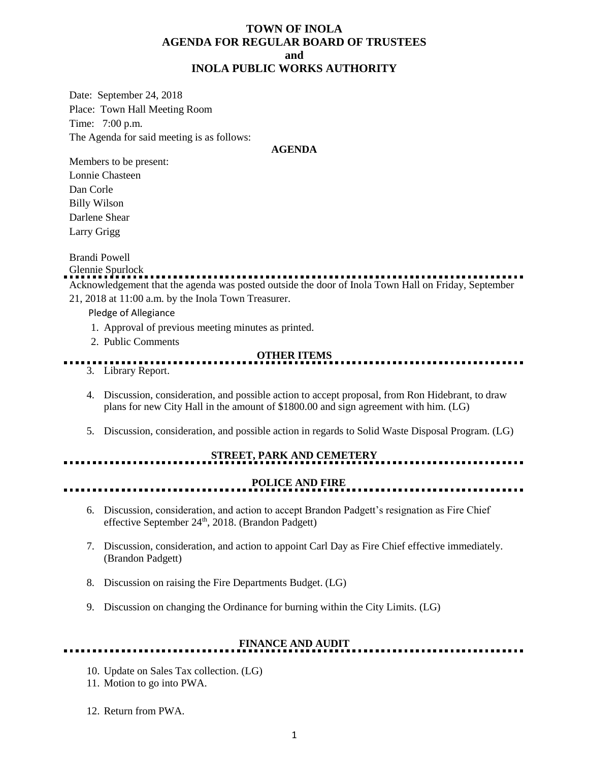#### **TOWN OF INOLA AGENDA FOR REGULAR BOARD OF TRUSTEES and INOLA PUBLIC WORKS AUTHORITY**

Date: September 24, 2018 Place: Town Hall Meeting Room Time: 7:00 p.m. The Agenda for said meeting is as follows:

#### **AGENDA**

Members to be present: Lonnie Chasteen Dan Corle Billy Wilson Darlene Shear Larry Grigg

Brandi Powell

Glennie Spurlock Acknowledgement that the agenda was posted outside the door of Inola Town Hall on Friday, September

21, 2018 at 11:00 a.m. by the Inola Town Treasurer.

Pledge of Allegiance

- 1. Approval of previous meeting minutes as printed.
- 2. Public Comments

#### **OTHER ITEMS**

- 3. Library Report.
- 4. Discussion, consideration, and possible action to accept proposal, from Ron Hidebrant, to draw plans for new City Hall in the amount of \$1800.00 and sign agreement with him. (LG)
- 5. Discussion, consideration, and possible action in regards to Solid Waste Disposal Program. (LG)

## **STREET, PARK AND CEMETERY**

## **POLICE AND FIRE**

<u>.........................</u>

- 6. Discussion, consideration, and action to accept Brandon Padgett's resignation as Fire Chief effective September 24<sup>th</sup>, 2018. (Brandon Padgett)
- 7. Discussion, consideration, and action to appoint Carl Day as Fire Chief effective immediately. (Brandon Padgett)
- 8. Discussion on raising the Fire Departments Budget. (LG)
- 9. Discussion on changing the Ordinance for burning within the City Limits. (LG)

## **FINANCE AND AUDIT**

- 10. Update on Sales Tax collection. (LG)
- 11. Motion to go into PWA.
- 12. Return from PWA.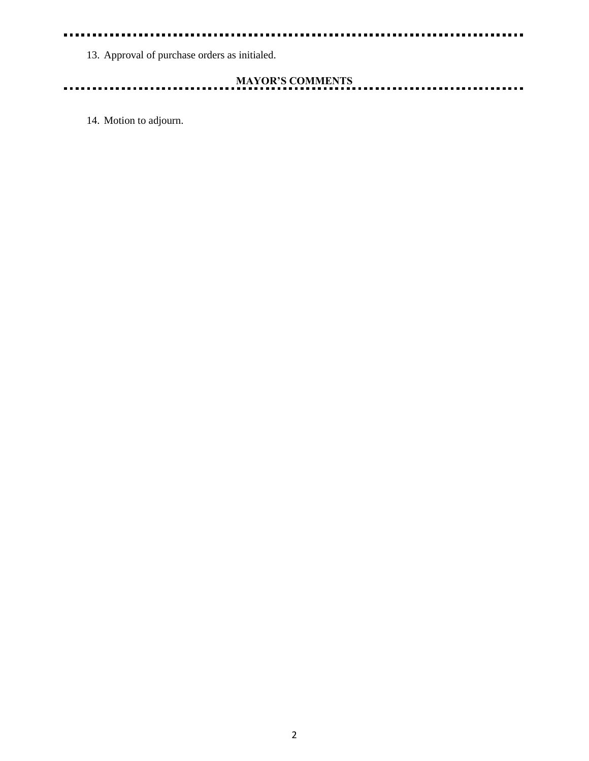#### . . .  $\blacksquare$

13. Approval of purchase orders as initialed.

# **MAYOR'S COMMENTS**

<u>. . . . . . . . . . .</u>

........

14. Motion to adjourn.

 $\blacksquare$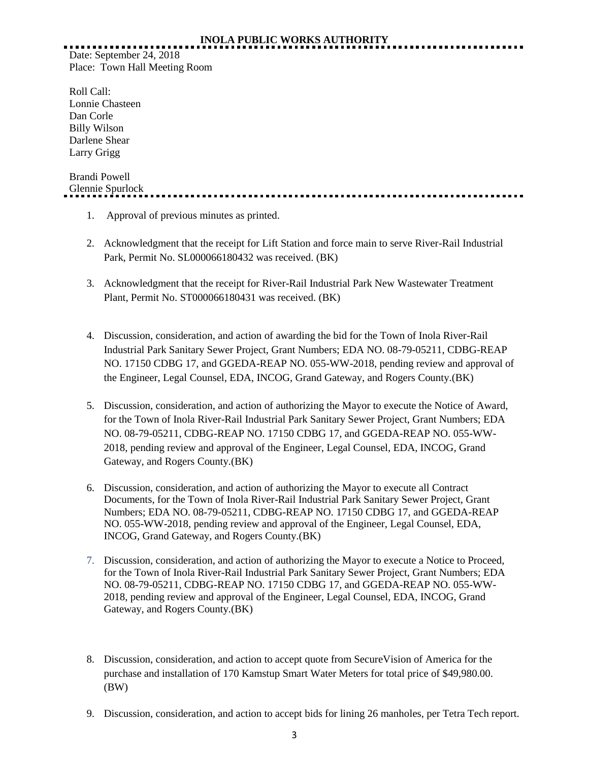## **INOLA PUBLIC WORKS AUTHORITY**

Date: September 24, 2018 Place: Town Hall Meeting Room

Roll Call: Lonnie Chasteen Dan Corle Billy Wilson Darlene Shear Larry Grigg

# Brandi Powell Glennie Spurlock

- 1. Approval of previous minutes as printed.
- 2. Acknowledgment that the receipt for Lift Station and force main to serve River-Rail Industrial Park, Permit No. SL000066180432 was received. (BK)
- 3. Acknowledgment that the receipt for River-Rail Industrial Park New Wastewater Treatment Plant, Permit No. ST000066180431 was received. (BK)
- 4. Discussion, consideration, and action of awarding the bid for the Town of Inola River-Rail Industrial Park Sanitary Sewer Project, Grant Numbers; EDA NO. 08-79-05211, CDBG-REAP NO. 17150 CDBG 17, and GGEDA-REAP NO. 055-WW-2018, pending review and approval of the Engineer, Legal Counsel, EDA, INCOG, Grand Gateway, and Rogers County.(BK)
- 5. Discussion, consideration, and action of authorizing the Mayor to execute the Notice of Award, for the Town of Inola River-Rail Industrial Park Sanitary Sewer Project, Grant Numbers; EDA NO. 08-79-05211, CDBG-REAP NO. 17150 CDBG 17, and GGEDA-REAP NO. 055-WW-2018, pending review and approval of the Engineer, Legal Counsel, EDA, INCOG, Grand Gateway, and Rogers County.(BK)
- 6. Discussion, consideration, and action of authorizing the Mayor to execute all Contract Documents, for the Town of Inola River-Rail Industrial Park Sanitary Sewer Project, Grant Numbers; EDA NO. 08-79-05211, CDBG-REAP NO. 17150 CDBG 17, and GGEDA-REAP NO. 055-WW-2018, pending review and approval of the Engineer, Legal Counsel, EDA, INCOG, Grand Gateway, and Rogers County.(BK)
- 7. Discussion, consideration, and action of authorizing the Mayor to execute a Notice to Proceed, for the Town of Inola River-Rail Industrial Park Sanitary Sewer Project, Grant Numbers; EDA NO. 08-79-05211, CDBG-REAP NO. 17150 CDBG 17, and GGEDA-REAP NO. 055-WW-2018, pending review and approval of the Engineer, Legal Counsel, EDA, INCOG, Grand Gateway, and Rogers County.(BK)
- 8. Discussion, consideration, and action to accept quote from SecureVision of America for the purchase and installation of 170 Kamstup Smart Water Meters for total price of \$49,980.00. (BW)
- 9. Discussion, consideration, and action to accept bids for lining 26 manholes, per Tetra Tech report.